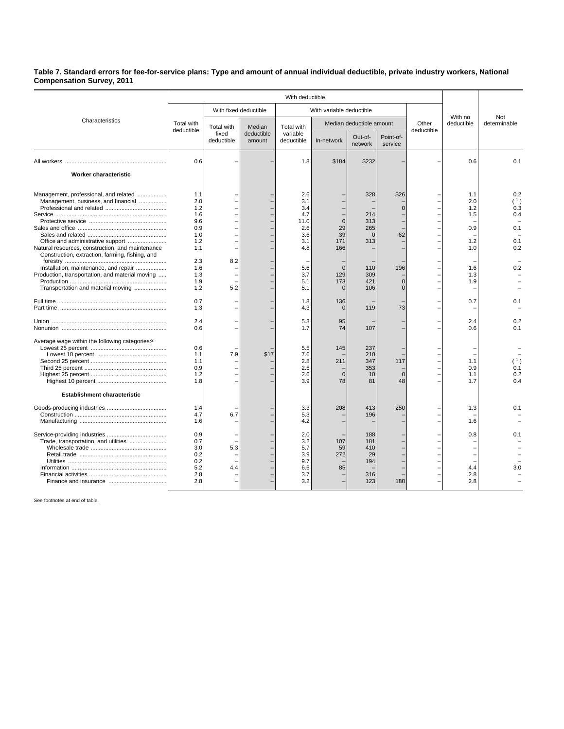## **Table 7. Standard errors for fee-for-service plans: Type and amount of annual individual deductible, private industry workers, National Compensation Survey, 2011**

|                                                                                                                                                                                                                                                                                                                                                            | With deductible                                                                                              |                                   |                      |                                                                                                        |                                                                                                     |                                                                                |                                                                   |                     |                                                                           |                                                             |
|------------------------------------------------------------------------------------------------------------------------------------------------------------------------------------------------------------------------------------------------------------------------------------------------------------------------------------------------------------|--------------------------------------------------------------------------------------------------------------|-----------------------------------|----------------------|--------------------------------------------------------------------------------------------------------|-----------------------------------------------------------------------------------------------------|--------------------------------------------------------------------------------|-------------------------------------------------------------------|---------------------|---------------------------------------------------------------------------|-------------------------------------------------------------|
| Characteristics                                                                                                                                                                                                                                                                                                                                            |                                                                                                              | With fixed deductible             |                      | With variable deductible                                                                               |                                                                                                     |                                                                                |                                                                   |                     |                                                                           |                                                             |
|                                                                                                                                                                                                                                                                                                                                                            | Total with<br>deductible                                                                                     | Total with<br>fixed<br>deductible | Median               | Total with<br>variable<br>deductible                                                                   | Median deductible amount                                                                            |                                                                                |                                                                   | Other<br>deductible | With no<br>deductible                                                     | Not<br>determinable                                         |
|                                                                                                                                                                                                                                                                                                                                                            |                                                                                                              |                                   | deductible<br>amount |                                                                                                        | In-network                                                                                          | Out-of-<br>network                                                             | Point-of-<br>service                                              |                     |                                                                           |                                                             |
|                                                                                                                                                                                                                                                                                                                                                            | 0.6                                                                                                          |                                   |                      | 1.8                                                                                                    | \$184                                                                                               | \$232                                                                          |                                                                   |                     | 0.6                                                                       | 0.1                                                         |
| Worker characteristic                                                                                                                                                                                                                                                                                                                                      |                                                                                                              |                                   |                      |                                                                                                        |                                                                                                     |                                                                                |                                                                   |                     |                                                                           |                                                             |
| Management, professional, and related<br>Management, business, and financial<br>Office and administrative support<br>Natural resources, construction, and maintenance<br>Construction, extraction, farming, fishing, and<br>Installation, maintenance, and repair<br>Production, transportation, and material moving<br>Transportation and material moving | 1.1<br>2.0<br>1.2<br>1.6<br>9.6<br>0.9<br>1.0<br>1.2<br>1.1<br>2.3<br>1.6<br>1.3<br>1.9<br>1.2<br>0.7<br>1.3 | 8.2<br>5.2                        |                      | 2.6<br>3.1<br>3.4<br>4.7<br>11.0<br>2.6<br>3.6<br>3.1<br>4.8<br>5.6<br>3.7<br>5.1<br>5.1<br>1.8<br>4.3 | $\Omega$<br>29<br>39<br>171<br>166<br>$\mathbf{0}$<br>129<br>173<br>$\mathbf{0}$<br>136<br>$\Omega$ | 328<br>214<br>313<br>265<br>$\Omega$<br>313<br>110<br>309<br>421<br>106<br>119 | \$26<br>$\Omega$<br>62<br>196<br>$\Omega$<br>$\overline{0}$<br>73 |                     | 1.1<br>2.0<br>1.2<br>1.5<br>0.9<br>1.2<br>1.0<br>1.6<br>1.3<br>1.9<br>0.7 | 0.2<br>(1)<br>0.3<br>0.4<br>0.1<br>0.1<br>0.2<br>0.2<br>0.1 |
|                                                                                                                                                                                                                                                                                                                                                            | 2.4<br>0.6                                                                                                   |                                   |                      | 5.3<br>1.7                                                                                             | 95<br>74                                                                                            | 107                                                                            |                                                                   |                     | 2.4<br>0.6                                                                | 0.2<br>0.1                                                  |
| Average wage within the following categories: <sup>2</sup><br>Establishment characteristic                                                                                                                                                                                                                                                                 | 0.6<br>1.1<br>1.1<br>0.9<br>1.2<br>1.8                                                                       | 7.9                               | \$17                 | 5.5<br>7.6<br>2.8<br>2.5<br>2.6<br>3.9                                                                 | 145<br>211<br>$\Omega$<br>78                                                                        | 237<br>210<br>347<br>353<br>10<br>81                                           | 117<br>$\Omega$<br>48                                             |                     | 1.1<br>0.9<br>1.1<br>1.7                                                  | (1)<br>0.1<br>0.2<br>0.4                                    |
|                                                                                                                                                                                                                                                                                                                                                            | 1.4<br>4.7<br>1.6<br>0.9<br>0.7<br>3.0<br>0.2<br>0.2<br>5.2<br>2.8<br>2.8                                    | 6.7<br>5.3<br>4.4                 |                      | 3.3<br>5.3<br>4.2<br>2.0<br>3.2<br>5.7<br>3.9<br>9.7<br>6.6<br>3.7<br>3.2                              | 208<br>107<br>59<br>272<br>85                                                                       | 413<br>196<br>188<br>181<br>410<br>29<br>194<br>316<br>123                     | 250<br>180                                                        |                     | 1.3<br>1.6<br>0.8<br>4.4<br>2.8<br>2.8                                    | 0.1<br>0.1<br>3.0                                           |

See footnotes at end of table.